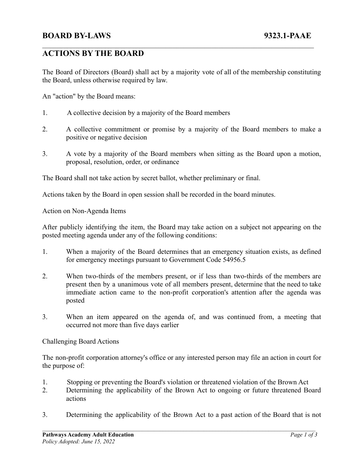#### **BOARD BY-LAWS 9323.1-PAAE**

## **ACTIONS BY THE BOARD**

The Board of Directors (Board) shall act by a majority vote of all of the membership constituting the Board, unless otherwise required by law.

 $\mathcal{L}_\mathcal{L} = \{ \mathcal{L}_\mathcal{L} = \{ \mathcal{L}_\mathcal{L} = \{ \mathcal{L}_\mathcal{L} = \{ \mathcal{L}_\mathcal{L} = \{ \mathcal{L}_\mathcal{L} = \{ \mathcal{L}_\mathcal{L} = \{ \mathcal{L}_\mathcal{L} = \{ \mathcal{L}_\mathcal{L} = \{ \mathcal{L}_\mathcal{L} = \{ \mathcal{L}_\mathcal{L} = \{ \mathcal{L}_\mathcal{L} = \{ \mathcal{L}_\mathcal{L} = \{ \mathcal{L}_\mathcal{L} = \{ \mathcal{L}_\mathcal{$ 

An "action" by the Board means:

- 1. A collective decision by a majority of the Board members
- 2. A collective commitment or promise by a majority of the Board members to make a positive or negative decision
- 3. A vote by a majority of the Board members when sitting as the Board upon a motion, proposal, resolution, order, or ordinance

The Board shall not take action by secret ballot, whether preliminary or final.

Actions taken by the Board in open session shall be recorded in the board minutes.

Action on Non-Agenda Items

After publicly identifying the item, the Board may take action on a subject not appearing on the posted meeting agenda under any of the following conditions:

- 1. When a majority of the Board determines that an emergency situation exists, as defined for emergency meetings pursuant to Government Code 54956.5
- 2. When two-thirds of the members present, or if less than two-thirds of the members are present then by a unanimous vote of all members present, determine that the need to take immediate action came to the non-profit corporation's attention after the agenda was posted
- 3. When an item appeared on the agenda of, and was continued from, a meeting that occurred not more than five days earlier

Challenging Board Actions

The non-profit corporation attorney's office or any interested person may file an action in court for the purpose of:

- 1. Stopping or preventing the Board's violation or threatened violation of the Brown Act
- 2. Determining the applicability of the Brown Act to ongoing or future threatened Board actions
- 3. Determining the applicability of the Brown Act to a past action of the Board that is not

 $\mathcal{L}_\mathcal{L} = \{ \mathcal{L}_\mathcal{L} = \{ \mathcal{L}_\mathcal{L} = \{ \mathcal{L}_\mathcal{L} = \{ \mathcal{L}_\mathcal{L} = \{ \mathcal{L}_\mathcal{L} = \{ \mathcal{L}_\mathcal{L} = \{ \mathcal{L}_\mathcal{L} = \{ \mathcal{L}_\mathcal{L} = \{ \mathcal{L}_\mathcal{L} = \{ \mathcal{L}_\mathcal{L} = \{ \mathcal{L}_\mathcal{L} = \{ \mathcal{L}_\mathcal{L} = \{ \mathcal{L}_\mathcal{L} = \{ \mathcal{L}_\mathcal{$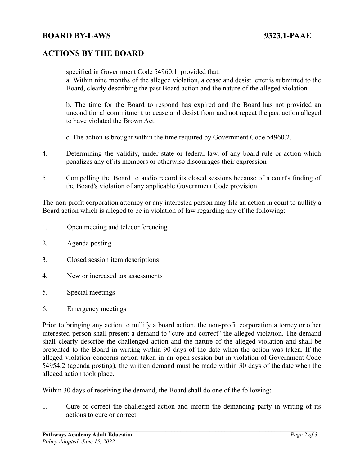## **BOARD BY-LAWS 9323.1-PAAE**

## **ACTIONS BY THE BOARD**

specified in Government Code 54960.1, provided that: a. Within nine months of the alleged violation, a cease and desist letter is submitted to the Board, clearly describing the past Board action and the nature of the alleged violation.

b. The time for the Board to respond has expired and the Board has not provided an unconditional commitment to cease and desist from and not repeat the past action alleged to have violated the Brown Act.

c. The action is brought within the time required by Government Code 54960.2.

 $\mathcal{L}_\mathcal{L} = \{ \mathcal{L}_\mathcal{L} = \{ \mathcal{L}_\mathcal{L} = \{ \mathcal{L}_\mathcal{L} = \{ \mathcal{L}_\mathcal{L} = \{ \mathcal{L}_\mathcal{L} = \{ \mathcal{L}_\mathcal{L} = \{ \mathcal{L}_\mathcal{L} = \{ \mathcal{L}_\mathcal{L} = \{ \mathcal{L}_\mathcal{L} = \{ \mathcal{L}_\mathcal{L} = \{ \mathcal{L}_\mathcal{L} = \{ \mathcal{L}_\mathcal{L} = \{ \mathcal{L}_\mathcal{L} = \{ \mathcal{L}_\mathcal{$ 

- 4. Determining the validity, under state or federal law, of any board rule or action which penalizes any of its members or otherwise discourages their expression
- 5. Compelling the Board to audio record its closed sessions because of a court's finding of the Board's violation of any applicable Government Code provision

The non-profit corporation attorney or any interested person may file an action in court to nullify a Board action which is alleged to be in violation of law regarding any of the following:

- 1. Open meeting and teleconferencing
- 2. Agenda posting
- 3. Closed session item descriptions
- 4. New or increased tax assessments
- 5. Special meetings
- 6. Emergency meetings

Prior to bringing any action to nullify a board action, the non-profit corporation attorney or other interested person shall present a demand to "cure and correct" the alleged violation. The demand shall clearly describe the challenged action and the nature of the alleged violation and shall be presented to the Board in writing within 90 days of the date when the action was taken. If the alleged violation concerns action taken in an open session but in violation of Government Code 54954.2 (agenda posting), the written demand must be made within 30 days of the date when the alleged action took place.

Within 30 days of receiving the demand, the Board shall do one of the following:

1. Cure or correct the challenged action and inform the demanding party in writing of its actions to cure or correct.

 $\mathcal{L}_\mathcal{L} = \{ \mathcal{L}_\mathcal{L} = \{ \mathcal{L}_\mathcal{L} = \{ \mathcal{L}_\mathcal{L} = \{ \mathcal{L}_\mathcal{L} = \{ \mathcal{L}_\mathcal{L} = \{ \mathcal{L}_\mathcal{L} = \{ \mathcal{L}_\mathcal{L} = \{ \mathcal{L}_\mathcal{L} = \{ \mathcal{L}_\mathcal{L} = \{ \mathcal{L}_\mathcal{L} = \{ \mathcal{L}_\mathcal{L} = \{ \mathcal{L}_\mathcal{L} = \{ \mathcal{L}_\mathcal{L} = \{ \mathcal{L}_\mathcal{$